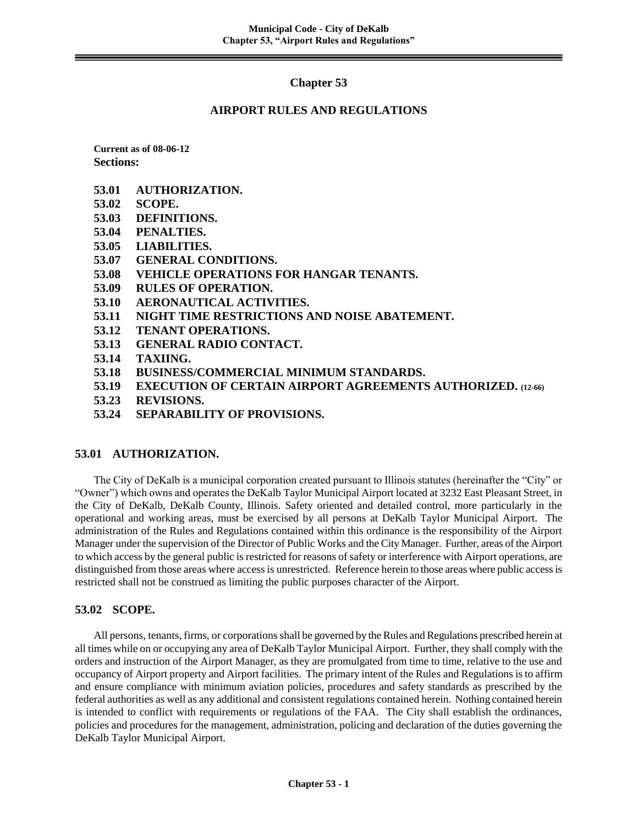# **Chapter 53**

## **AIRPORT RULES AND REGULATIONS**

**Current as of 08-06-12 Sections:**

- **53.01 AUTHORIZATION.**
- **53.02 SCOPE.**
- **53.03 DEFINITIONS.**
- **53.04 PENALTIES.**
- **53.05 LIABILITIES.**
- **53.07 GENERAL CONDITIONS.**
- **53.08 VEHICLE OPERATIONS FOR HANGAR TENANTS.**
- **53.09 RULES OF OPERATION.**
- **53.10 AERONAUTICAL ACTIVITIES.**
- **53.11 NIGHT TIME RESTRICTIONS AND NOISE ABATEMENT.**
- **53.12 TENANT OPERATIONS.**
- **53.13 GENERAL RADIO CONTACT.**
- **53.14 TAXIING.**
- **53.18 BUSINESS/COMMERCIAL MINIMUM STANDARDS.**
- **53.19 EXECUTION OF CERTAIN AIRPORT AGREEMENTS AUTHORIZED. (12-66)**
- **53.23 REVISIONS.**
- **53.24 SEPARABILITY OF PROVISIONS.**

## **53.01 AUTHORIZATION.**

The City of DeKalb is a municipal corporation created pursuant to Illinois statutes (hereinafter the "City" or "Owner") which owns and operates the DeKalb Taylor Municipal Airport located at 3232 East Pleasant Street, in the City of DeKalb, DeKalb County, Illinois. Safety oriented and detailed control, more particularly in the operational and working areas, must be exercised by all persons at DeKalb Taylor Municipal Airport. The administration of the Rules and Regulations contained within this ordinance is the responsibility of the Airport Manager under the supervision of the Director of Public Works and the City Manager. Further, areas of the Airport to which access by the general public is restricted for reasons of safety or interference with Airport operations, are distinguished from those areas where access is unrestricted. Reference herein to those areas where public access is restricted shall not be construed as limiting the public purposes character of the Airport.

# **53.02 SCOPE.**

All persons, tenants, firms, or corporations shall be governed by the Rules and Regulations prescribed herein at all times while on or occupying any area of DeKalb Taylor Municipal Airport. Further, they shall comply with the orders and instruction of the Airport Manager, as they are promulgated from time to time, relative to the use and occupancy of Airport property and Airport facilities. The primary intent of the Rules and Regulations is to affirm and ensure compliance with minimum aviation policies, procedures and safety standards as prescribed by the federal authorities as well as any additional and consistent regulations contained herein. Nothing contained herein is intended to conflict with requirements or regulations of the FAA. The City shall establish the ordinances, policies and procedures for the management, administration, policing and declaration of the duties governing the DeKalb Taylor Municipal Airport.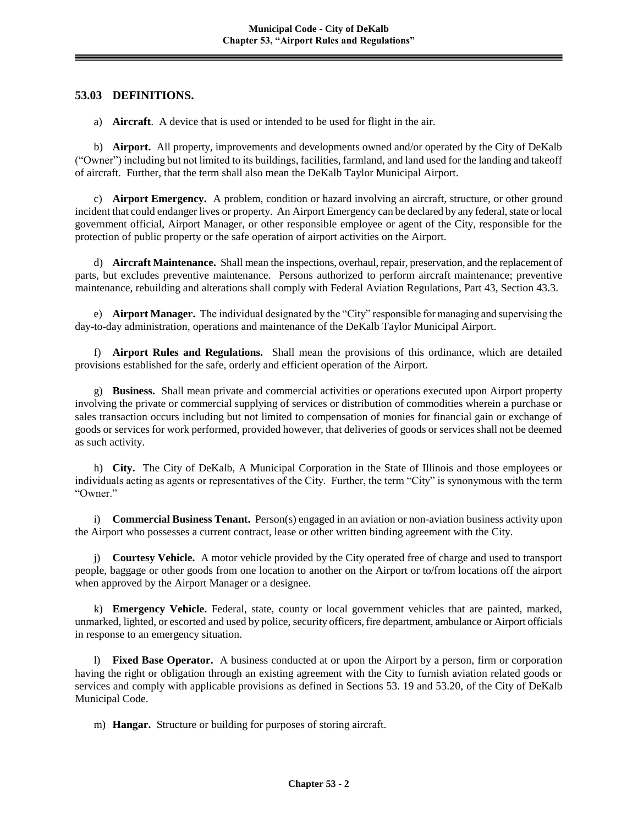# **53.03 DEFINITIONS.**

a) **Aircraft**. A device that is used or intended to be used for flight in the air.

b) **Airport.** All property, improvements and developments owned and/or operated by the City of DeKalb ("Owner") including but not limited to its buildings, facilities, farmland, and land used for the landing and takeoff of aircraft. Further, that the term shall also mean the DeKalb Taylor Municipal Airport.

c) **Airport Emergency.** A problem, condition or hazard involving an aircraft, structure, or other ground incident that could endanger lives or property. An Airport Emergency can be declared by any federal, state or local government official, Airport Manager, or other responsible employee or agent of the City, responsible for the protection of public property or the safe operation of airport activities on the Airport.

d) **Aircraft Maintenance.** Shall mean the inspections, overhaul, repair, preservation, and the replacement of parts, but excludes preventive maintenance. Persons authorized to perform aircraft maintenance; preventive maintenance, rebuilding and alterations shall comply with Federal Aviation Regulations, Part 43, Section 43.3.

e) **Airport Manager.** The individual designated by the "City" responsible for managing and supervising the day-to-day administration, operations and maintenance of the DeKalb Taylor Municipal Airport.

f) **Airport Rules and Regulations.** Shall mean the provisions of this ordinance, which are detailed provisions established for the safe, orderly and efficient operation of the Airport.

g) **Business.** Shall mean private and commercial activities or operations executed upon Airport property involving the private or commercial supplying of services or distribution of commodities wherein a purchase or sales transaction occurs including but not limited to compensation of monies for financial gain or exchange of goods or services for work performed, provided however, that deliveries of goods or services shall not be deemed as such activity.

h) **City.** The City of DeKalb, A Municipal Corporation in the State of Illinois and those employees or individuals acting as agents or representatives of the City. Further, the term "City" is synonymous with the term "Owner."

i) **Commercial Business Tenant.** Person(s) engaged in an aviation or non-aviation business activity upon the Airport who possesses a current contract, lease or other written binding agreement with the City.

j) **Courtesy Vehicle.** A motor vehicle provided by the City operated free of charge and used to transport people, baggage or other goods from one location to another on the Airport or to/from locations off the airport when approved by the Airport Manager or a designee.

k) **Emergency Vehicle.** Federal, state, county or local government vehicles that are painted, marked, unmarked, lighted, or escorted and used by police, security officers, fire department, ambulance or Airport officials in response to an emergency situation.

l) **Fixed Base Operator.** A business conducted at or upon the Airport by a person, firm or corporation having the right or obligation through an existing agreement with the City to furnish aviation related goods or services and comply with applicable provisions as defined in Sections 53. 19 and 53.20, of the City of DeKalb Municipal Code.

m) **Hangar.** Structure or building for purposes of storing aircraft.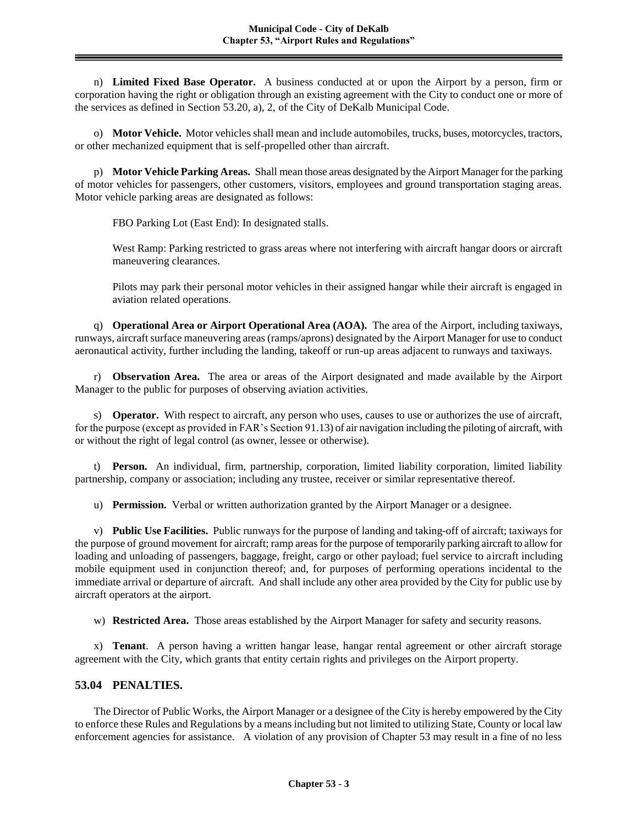n) **Limited Fixed Base Operator.** A business conducted at or upon the Airport by a person, firm or corporation having the right or obligation through an existing agreement with the City to conduct one or more of the services as defined in Section 53.20, a), 2, of the City of DeKalb Municipal Code.

o) **Motor Vehicle.** Motor vehicles shall mean and include automobiles, trucks, buses, motorcycles, tractors, or other mechanized equipment that is self-propelled other than aircraft.

p) **Motor Vehicle Parking Areas.** Shall mean those areas designated by the Airport Manager for the parking of motor vehicles for passengers, other customers, visitors, employees and ground transportation staging areas. Motor vehicle parking areas are designated as follows:

FBO Parking Lot (East End): In designated stalls.

West Ramp: Parking restricted to grass areas where not interfering with aircraft hangar doors or aircraft maneuvering clearances.

Pilots may park their personal motor vehicles in their assigned hangar while their aircraft is engaged in aviation related operations.

q) **Operational Area or Airport Operational Area (AOA).** The area of the Airport, including taxiways, runways, aircraft surface maneuvering areas (ramps/aprons) designated by the Airport Manager for use to conduct aeronautical activity, further including the landing, takeoff or run-up areas adjacent to runways and taxiways.

r) **Observation Area.** The area or areas of the Airport designated and made available by the Airport Manager to the public for purposes of observing aviation activities.

s) **Operator.** With respect to aircraft, any person who uses, causes to use or authorizes the use of aircraft, for the purpose (except as provided in FAR's Section 91.13) of air navigation including the piloting of aircraft, with or without the right of legal control (as owner, lessee or otherwise).

t) **Person.** An individual, firm, partnership, corporation, limited liability corporation, limited liability partnership, company or association; including any trustee, receiver or similar representative thereof.

u) **Permission.** Verbal or written authorization granted by the Airport Manager or a designee.

v) **Public Use Facilities.** Public runways for the purpose of landing and taking-off of aircraft; taxiways for the purpose of ground movement for aircraft; ramp areas for the purpose of temporarily parking aircraft to allow for loading and unloading of passengers, baggage, freight, cargo or other payload; fuel service to aircraft including mobile equipment used in conjunction thereof; and, for purposes of performing operations incidental to the immediate arrival or departure of aircraft. And shall include any other area provided by the City for public use by aircraft operators at the airport.

w) **Restricted Area.** Those areas established by the Airport Manager for safety and security reasons.

x) **Tenant**. A person having a written hangar lease, hangar rental agreement or other aircraft storage agreement with the City, which grants that entity certain rights and privileges on the Airport property.

### **53.04 PENALTIES.**

The Director of Public Works, the Airport Manager or a designee of the City is hereby empowered by the City to enforce these Rules and Regulations by a means including but not limited to utilizing State, County or local law enforcement agencies for assistance. A violation of any provision of Chapter 53 may result in a fine of no less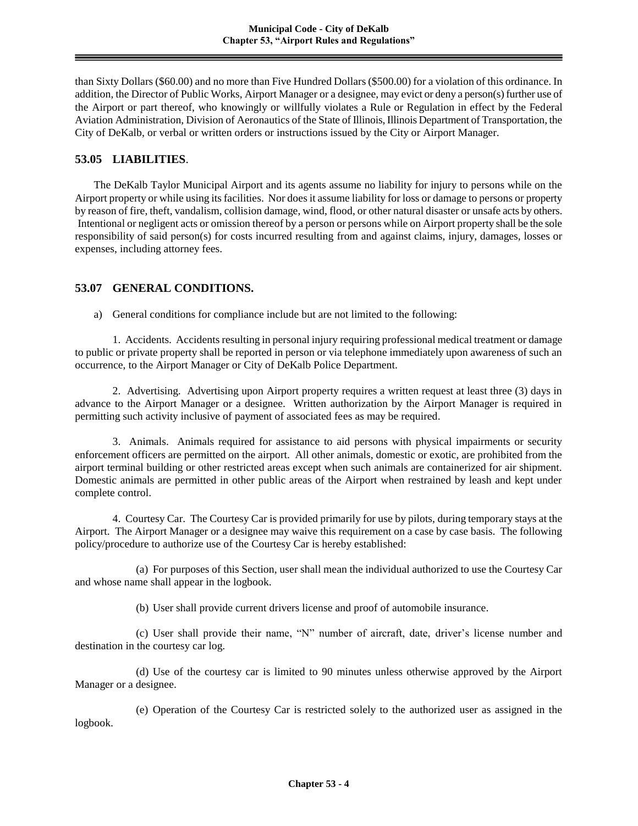than Sixty Dollars (\$60.00) and no more than Five Hundred Dollars (\$500.00) for a violation of this ordinance. In addition, the Director of Public Works, Airport Manager or a designee, may evict or deny a person(s) further use of the Airport or part thereof, who knowingly or willfully violates a Rule or Regulation in effect by the Federal Aviation Administration, Division of Aeronautics of the State of Illinois, Illinois Department of Transportation, the City of DeKalb, or verbal or written orders or instructions issued by the City or Airport Manager.

### **53.05 LIABILITIES**.

The DeKalb Taylor Municipal Airport and its agents assume no liability for injury to persons while on the Airport property or while using its facilities. Nor does it assume liability for loss or damage to persons or property by reason of fire, theft, vandalism, collision damage, wind, flood, or other natural disaster or unsafe acts by others. Intentional or negligent acts or omission thereof by a person or persons while on Airport property shall be the sole responsibility of said person(s) for costs incurred resulting from and against claims, injury, damages, losses or expenses, including attorney fees.

## **53.07 GENERAL CONDITIONS.**

a) General conditions for compliance include but are not limited to the following:

1. Accidents. Accidents resulting in personal injury requiring professional medical treatment or damage to public or private property shall be reported in person or via telephone immediately upon awareness of such an occurrence, to the Airport Manager or City of DeKalb Police Department.

2. Advertising. Advertising upon Airport property requires a written request at least three (3) days in advance to the Airport Manager or a designee. Written authorization by the Airport Manager is required in permitting such activity inclusive of payment of associated fees as may be required.

3. Animals. Animals required for assistance to aid persons with physical impairments or security enforcement officers are permitted on the airport. All other animals, domestic or exotic, are prohibited from the airport terminal building or other restricted areas except when such animals are containerized for air shipment. Domestic animals are permitted in other public areas of the Airport when restrained by leash and kept under complete control.

4. Courtesy Car. The Courtesy Car is provided primarily for use by pilots, during temporary stays at the Airport. The Airport Manager or a designee may waive this requirement on a case by case basis. The following policy/procedure to authorize use of the Courtesy Car is hereby established:

(a) For purposes of this Section, user shall mean the individual authorized to use the Courtesy Car and whose name shall appear in the logbook.

(b) User shall provide current drivers license and proof of automobile insurance.

(c) User shall provide their name, "N" number of aircraft, date, driver's license number and destination in the courtesy car log.

(d) Use of the courtesy car is limited to 90 minutes unless otherwise approved by the Airport Manager or a designee.

(e) Operation of the Courtesy Car is restricted solely to the authorized user as assigned in the logbook.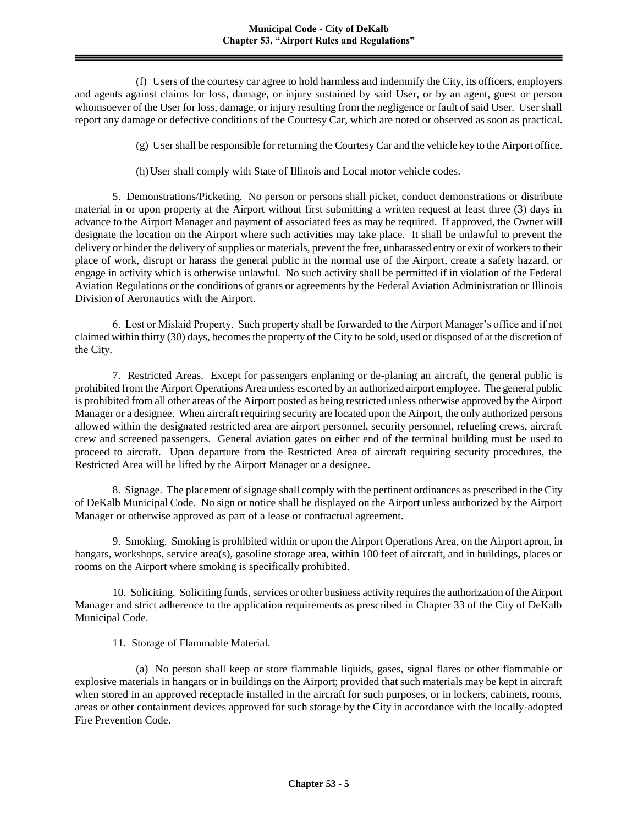(f) Users of the courtesy car agree to hold harmless and indemnify the City, its officers, employers and agents against claims for loss, damage, or injury sustained by said User, or by an agent, guest or person whomsoever of the User for loss, damage, or injury resulting from the negligence or fault of said User. User shall report any damage or defective conditions of the Courtesy Car, which are noted or observed as soon as practical.

(g) User shall be responsible for returning the Courtesy Car and the vehicle key to the Airport office.

(h)User shall comply with State of Illinois and Local motor vehicle codes.

5. Demonstrations/Picketing. No person or persons shall picket, conduct demonstrations or distribute material in or upon property at the Airport without first submitting a written request at least three (3) days in advance to the Airport Manager and payment of associated fees as may be required. If approved, the Owner will designate the location on the Airport where such activities may take place. It shall be unlawful to prevent the delivery or hinder the delivery of supplies or materials, prevent the free, unharassed entry or exit of workers to their place of work, disrupt or harass the general public in the normal use of the Airport, create a safety hazard, or engage in activity which is otherwise unlawful. No such activity shall be permitted if in violation of the Federal Aviation Regulations or the conditions of grants or agreements by the Federal Aviation Administration or Illinois Division of Aeronautics with the Airport.

6. Lost or Mislaid Property. Such property shall be forwarded to the Airport Manager's office and if not claimed within thirty (30) days, becomes the property of the City to be sold, used or disposed of at the discretion of the City.

7. Restricted Areas. Except for passengers enplaning or de-planing an aircraft, the general public is prohibited from the Airport Operations Area unless escorted by an authorized airport employee. The general public is prohibited from all other areas of the Airport posted as being restricted unless otherwise approved by the Airport Manager or a designee. When aircraft requiring security are located upon the Airport, the only authorized persons allowed within the designated restricted area are airport personnel, security personnel, refueling crews, aircraft crew and screened passengers. General aviation gates on either end of the terminal building must be used to proceed to aircraft. Upon departure from the Restricted Area of aircraft requiring security procedures, the Restricted Area will be lifted by the Airport Manager or a designee.

8. Signage. The placement of signage shall comply with the pertinent ordinances as prescribed in the City of DeKalb Municipal Code. No sign or notice shall be displayed on the Airport unless authorized by the Airport Manager or otherwise approved as part of a lease or contractual agreement.

9. Smoking. Smoking is prohibited within or upon the Airport Operations Area, on the Airport apron, in hangars, workshops, service area(s), gasoline storage area, within 100 feet of aircraft, and in buildings, places or rooms on the Airport where smoking is specifically prohibited.

10. Soliciting. Soliciting funds, services or other business activity requires the authorization of the Airport Manager and strict adherence to the application requirements as prescribed in Chapter 33 of the City of DeKalb Municipal Code.

11. Storage of Flammable Material.

(a) No person shall keep or store flammable liquids, gases, signal flares or other flammable or explosive materials in hangars or in buildings on the Airport; provided that such materials may be kept in aircraft when stored in an approved receptacle installed in the aircraft for such purposes, or in lockers, cabinets, rooms, areas or other containment devices approved for such storage by the City in accordance with the locally-adopted Fire Prevention Code.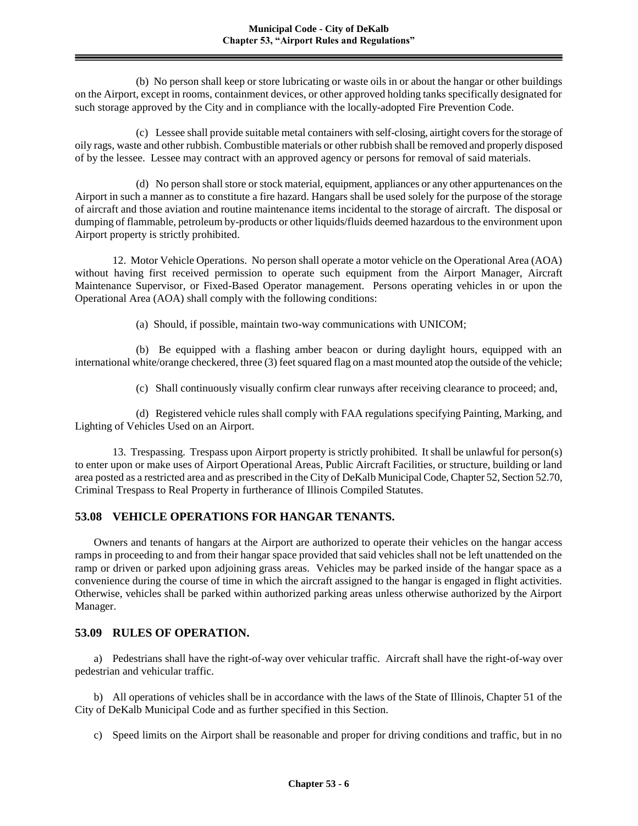(b) No person shall keep or store lubricating or waste oils in or about the hangar or other buildings on the Airport, except in rooms, containment devices, or other approved holding tanks specifically designated for such storage approved by the City and in compliance with the locally-adopted Fire Prevention Code.

(c) Lessee shall provide suitable metal containers with self-closing, airtight covers for the storage of oily rags, waste and other rubbish. Combustible materials or other rubbish shall be removed and properly disposed of by the lessee. Lessee may contract with an approved agency or persons for removal of said materials.

(d) No person shall store or stock material, equipment, appliances or any other appurtenances on the Airport in such a manner as to constitute a fire hazard. Hangars shall be used solely for the purpose of the storage of aircraft and those aviation and routine maintenance items incidental to the storage of aircraft. The disposal or dumping of flammable, petroleum by-products or other liquids/fluids deemed hazardous to the environment upon Airport property is strictly prohibited.

12. Motor Vehicle Operations. No person shall operate a motor vehicle on the Operational Area (AOA) without having first received permission to operate such equipment from the Airport Manager, Aircraft Maintenance Supervisor, or Fixed-Based Operator management. Persons operating vehicles in or upon the Operational Area (AOA) shall comply with the following conditions:

(a) Should, if possible, maintain two-way communications with UNICOM;

(b) Be equipped with a flashing amber beacon or during daylight hours, equipped with an international white/orange checkered, three (3) feet squared flag on a mast mounted atop the outside of the vehicle;

(c) Shall continuously visually confirm clear runways after receiving clearance to proceed; and,

(d) Registered vehicle rules shall comply with FAA regulations specifying Painting, Marking, and Lighting of Vehicles Used on an Airport.

13. Trespassing. Trespass upon Airport property is strictly prohibited. It shall be unlawful for person(s) to enter upon or make uses of Airport Operational Areas, Public Aircraft Facilities, or structure, building or land area posted as a restricted area and as prescribed in the City of DeKalb Municipal Code, Chapter 52, Section 52.70, Criminal Trespass to Real Property in furtherance of Illinois Compiled Statutes.

# **53.08 VEHICLE OPERATIONS FOR HANGAR TENANTS.**

Owners and tenants of hangars at the Airport are authorized to operate their vehicles on the hangar access ramps in proceeding to and from their hangar space provided that said vehicles shall not be left unattended on the ramp or driven or parked upon adjoining grass areas. Vehicles may be parked inside of the hangar space as a convenience during the course of time in which the aircraft assigned to the hangar is engaged in flight activities. Otherwise, vehicles shall be parked within authorized parking areas unless otherwise authorized by the Airport Manager.

## **53.09 RULES OF OPERATION.**

a) Pedestrians shall have the right-of-way over vehicular traffic. Aircraft shall have the right-of-way over pedestrian and vehicular traffic.

b) All operations of vehicles shall be in accordance with the laws of the State of Illinois, Chapter 51 of the City of DeKalb Municipal Code and as further specified in this Section.

c) Speed limits on the Airport shall be reasonable and proper for driving conditions and traffic, but in no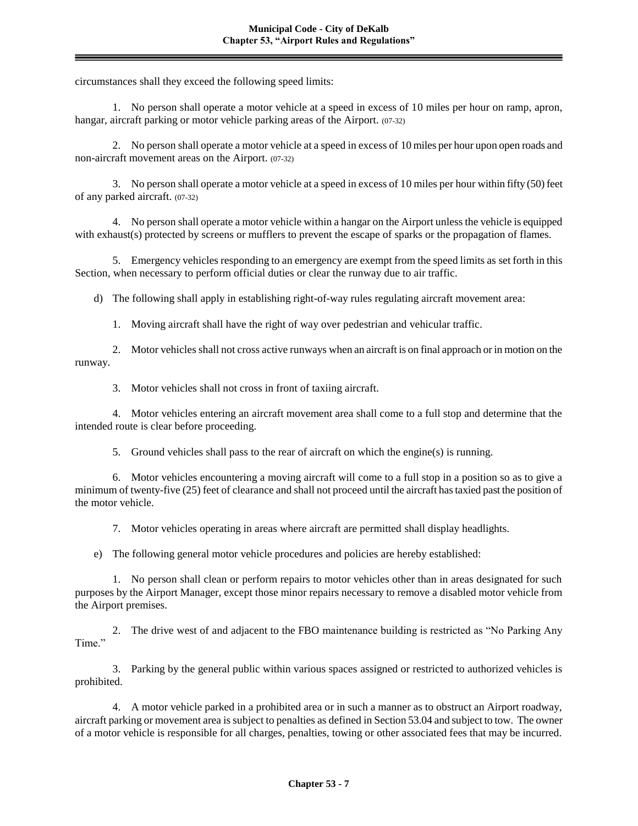circumstances shall they exceed the following speed limits:

1. No person shall operate a motor vehicle at a speed in excess of 10 miles per hour on ramp, apron, hangar, aircraft parking or motor vehicle parking areas of the Airport. (07-32)

2. No person shall operate a motor vehicle at a speed in excess of 10 miles per hour upon open roads and non-aircraft movement areas on the Airport. (07-32)

3. No person shall operate a motor vehicle at a speed in excess of 10 miles per hour within fifty (50) feet of any parked aircraft. (07-32)

4. No person shall operate a motor vehicle within a hangar on the Airport unless the vehicle is equipped with exhaust(s) protected by screens or mufflers to prevent the escape of sparks or the propagation of flames.

5. Emergency vehicles responding to an emergency are exempt from the speed limits as set forth in this Section, when necessary to perform official duties or clear the runway due to air traffic.

d) The following shall apply in establishing right-of-way rules regulating aircraft movement area:

1. Moving aircraft shall have the right of way over pedestrian and vehicular traffic.

2. Motor vehicles shall not cross active runways when an aircraft is on final approach or in motion on the runway.

3. Motor vehicles shall not cross in front of taxiing aircraft.

4. Motor vehicles entering an aircraft movement area shall come to a full stop and determine that the intended route is clear before proceeding.

5. Ground vehicles shall pass to the rear of aircraft on which the engine(s) is running.

6. Motor vehicles encountering a moving aircraft will come to a full stop in a position so as to give a minimum of twenty-five (25) feet of clearance and shall not proceed until the aircraft has taxied past the position of the motor vehicle.

7. Motor vehicles operating in areas where aircraft are permitted shall display headlights.

e) The following general motor vehicle procedures and policies are hereby established:

1. No person shall clean or perform repairs to motor vehicles other than in areas designated for such purposes by the Airport Manager, except those minor repairs necessary to remove a disabled motor vehicle from the Airport premises.

2. The drive west of and adjacent to the FBO maintenance building is restricted as "No Parking Any Time<sup>"</sup>

3. Parking by the general public within various spaces assigned or restricted to authorized vehicles is prohibited.

4. A motor vehicle parked in a prohibited area or in such a manner as to obstruct an Airport roadway, aircraft parking or movement area is subject to penalties as defined in Section 53.04 and subject to tow. The owner of a motor vehicle is responsible for all charges, penalties, towing or other associated fees that may be incurred.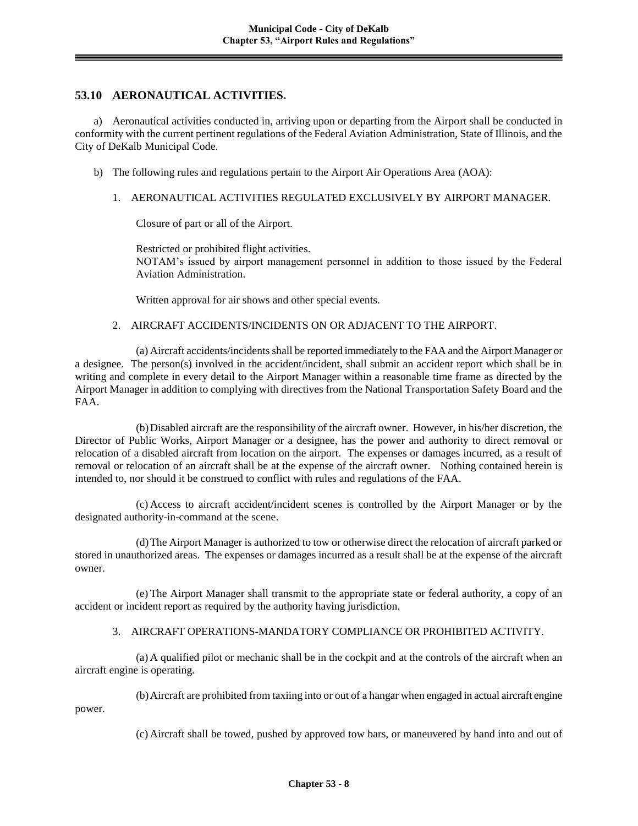# **53.10 AERONAUTICAL ACTIVITIES.**

a) Aeronautical activities conducted in, arriving upon or departing from the Airport shall be conducted in conformity with the current pertinent regulations of the Federal Aviation Administration, State of Illinois, and the City of DeKalb Municipal Code.

- b) The following rules and regulations pertain to the Airport Air Operations Area (AOA):
	- 1. AERONAUTICAL ACTIVITIES REGULATED EXCLUSIVELY BY AIRPORT MANAGER.

Closure of part or all of the Airport.

Restricted or prohibited flight activities. NOTAM's issued by airport management personnel in addition to those issued by the Federal Aviation Administration.

Written approval for air shows and other special events.

### 2. AIRCRAFT ACCIDENTS/INCIDENTS ON OR ADJACENT TO THE AIRPORT.

(a) Aircraft accidents/incidents shall be reported immediately to the FAA and the Airport Manager or a designee. The person(s) involved in the accident/incident, shall submit an accident report which shall be in writing and complete in every detail to the Airport Manager within a reasonable time frame as directed by the Airport Manager in addition to complying with directives from the National Transportation Safety Board and the FAA.

(b)Disabled aircraft are the responsibility of the aircraft owner. However, in his/her discretion, the Director of Public Works, Airport Manager or a designee, has the power and authority to direct removal or relocation of a disabled aircraft from location on the airport. The expenses or damages incurred, as a result of removal or relocation of an aircraft shall be at the expense of the aircraft owner. Nothing contained herein is intended to, nor should it be construed to conflict with rules and regulations of the FAA.

(c) Access to aircraft accident/incident scenes is controlled by the Airport Manager or by the designated authority-in-command at the scene.

(d)The Airport Manager is authorized to tow or otherwise direct the relocation of aircraft parked or stored in unauthorized areas. The expenses or damages incurred as a result shall be at the expense of the aircraft owner.

(e) The Airport Manager shall transmit to the appropriate state or federal authority, a copy of an accident or incident report as required by the authority having jurisdiction.

### 3. AIRCRAFT OPERATIONS-MANDATORY COMPLIANCE OR PROHIBITED ACTIVITY.

(a) A qualified pilot or mechanic shall be in the cockpit and at the controls of the aircraft when an aircraft engine is operating.

(b)Aircraft are prohibited from taxiing into or out of a hangar when engaged in actual aircraft engine power.

(c) Aircraft shall be towed, pushed by approved tow bars, or maneuvered by hand into and out of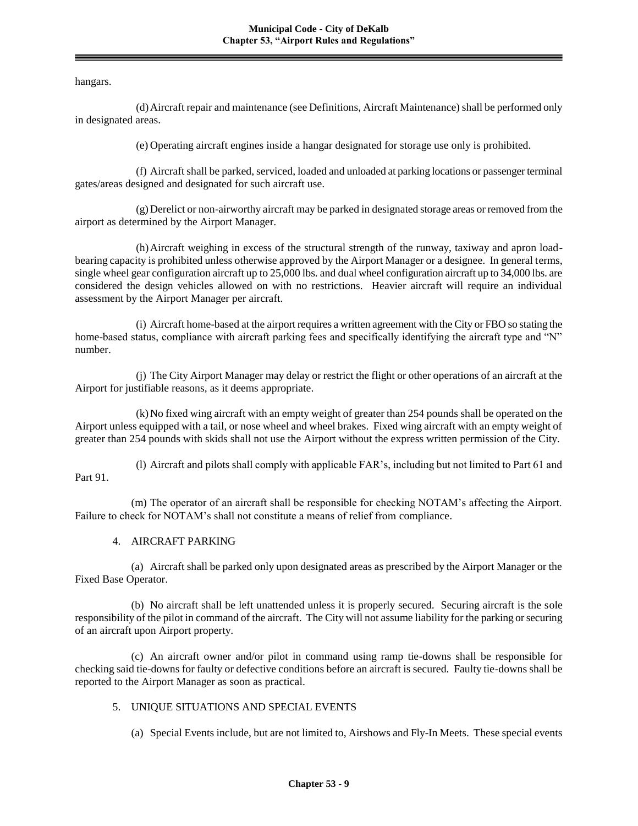hangars.

(d)Aircraft repair and maintenance (see Definitions, Aircraft Maintenance) shall be performed only in designated areas.

(e) Operating aircraft engines inside a hangar designated for storage use only is prohibited.

(f) Aircraft shall be parked, serviced, loaded and unloaded at parking locations or passenger terminal gates/areas designed and designated for such aircraft use.

(g)Derelict or non-airworthy aircraft may be parked in designated storage areas or removed from the airport as determined by the Airport Manager.

(h)Aircraft weighing in excess of the structural strength of the runway, taxiway and apron loadbearing capacity is prohibited unless otherwise approved by the Airport Manager or a designee. In general terms, single wheel gear configuration aircraft up to 25,000 lbs. and dual wheel configuration aircraft up to 34,000 lbs. are considered the design vehicles allowed on with no restrictions. Heavier aircraft will require an individual assessment by the Airport Manager per aircraft.

(i) Aircraft home-based at the airport requires a written agreement with the City or FBO so stating the home-based status, compliance with aircraft parking fees and specifically identifying the aircraft type and "N" number.

(j) The City Airport Manager may delay or restrict the flight or other operations of an aircraft at the Airport for justifiable reasons, as it deems appropriate.

(k)No fixed wing aircraft with an empty weight of greater than 254 pounds shall be operated on the Airport unless equipped with a tail, or nose wheel and wheel brakes. Fixed wing aircraft with an empty weight of greater than 254 pounds with skids shall not use the Airport without the express written permission of the City.

(l) Aircraft and pilots shall comply with applicable FAR's, including but not limited to Part 61 and Part 91.

(m) The operator of an aircraft shall be responsible for checking NOTAM's affecting the Airport. Failure to check for NOTAM's shall not constitute a means of relief from compliance.

#### 4. AIRCRAFT PARKING

(a) Aircraft shall be parked only upon designated areas as prescribed by the Airport Manager or the Fixed Base Operator.

(b) No aircraft shall be left unattended unless it is properly secured. Securing aircraft is the sole responsibility of the pilot in command of the aircraft. The City will not assume liability for the parking or securing of an aircraft upon Airport property.

(c) An aircraft owner and/or pilot in command using ramp tie-downs shall be responsible for checking said tie-downs for faulty or defective conditions before an aircraft is secured. Faulty tie-downs shall be reported to the Airport Manager as soon as practical.

#### 5. UNIQUE SITUATIONS AND SPECIAL EVENTS

(a) Special Events include, but are not limited to, Airshows and Fly-In Meets. These special events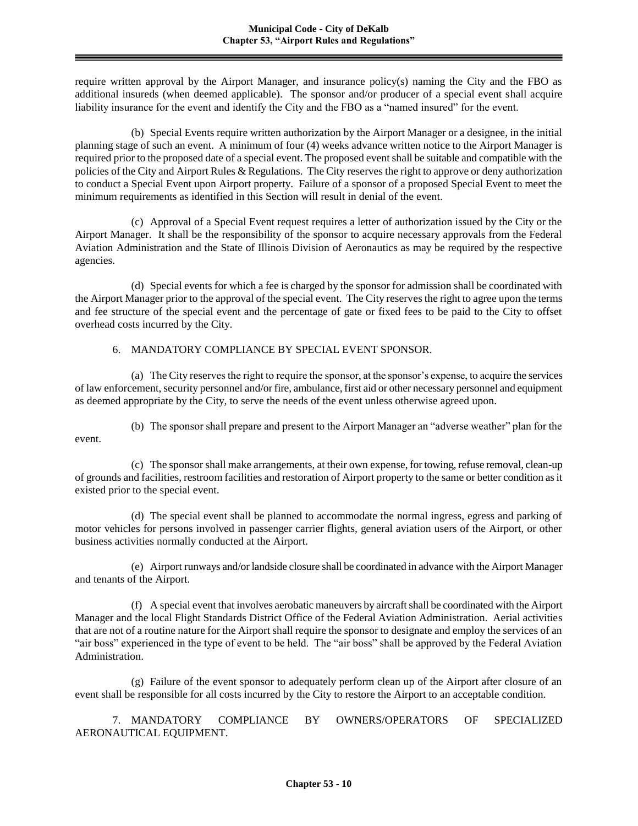require written approval by the Airport Manager, and insurance policy(s) naming the City and the FBO as additional insureds (when deemed applicable). The sponsor and/or producer of a special event shall acquire liability insurance for the event and identify the City and the FBO as a "named insured" for the event.

(b) Special Events require written authorization by the Airport Manager or a designee, in the initial planning stage of such an event. A minimum of four (4) weeks advance written notice to the Airport Manager is required prior to the proposed date of a special event. The proposed event shall be suitable and compatible with the policies of the City and Airport Rules & Regulations. The City reserves the right to approve or deny authorization to conduct a Special Event upon Airport property. Failure of a sponsor of a proposed Special Event to meet the minimum requirements as identified in this Section will result in denial of the event.

(c) Approval of a Special Event request requires a letter of authorization issued by the City or the Airport Manager. It shall be the responsibility of the sponsor to acquire necessary approvals from the Federal Aviation Administration and the State of Illinois Division of Aeronautics as may be required by the respective agencies.

(d) Special events for which a fee is charged by the sponsor for admission shall be coordinated with the Airport Manager prior to the approval of the special event. The City reserves the right to agree upon the terms and fee structure of the special event and the percentage of gate or fixed fees to be paid to the City to offset overhead costs incurred by the City.

## 6. MANDATORY COMPLIANCE BY SPECIAL EVENT SPONSOR.

(a) The City reserves the right to require the sponsor, at the sponsor's expense, to acquire the services of law enforcement, security personnel and/or fire, ambulance, first aid or other necessary personnel and equipment as deemed appropriate by the City, to serve the needs of the event unless otherwise agreed upon.

(b) The sponsor shall prepare and present to the Airport Manager an "adverse weather" plan for the event.

(c) The sponsor shall make arrangements, at their own expense, for towing, refuse removal, clean-up of grounds and facilities, restroom facilities and restoration of Airport property to the same or better condition as it existed prior to the special event.

(d) The special event shall be planned to accommodate the normal ingress, egress and parking of motor vehicles for persons involved in passenger carrier flights, general aviation users of the Airport, or other business activities normally conducted at the Airport.

(e) Airport runways and/or landside closure shall be coordinated in advance with the Airport Manager and tenants of the Airport.

(f) A special event that involves aerobatic maneuvers by aircraft shall be coordinated with the Airport Manager and the local Flight Standards District Office of the Federal Aviation Administration. Aerial activities that are not of a routine nature for the Airport shall require the sponsor to designate and employ the services of an "air boss" experienced in the type of event to be held. The "air boss" shall be approved by the Federal Aviation Administration.

(g) Failure of the event sponsor to adequately perform clean up of the Airport after closure of an event shall be responsible for all costs incurred by the City to restore the Airport to an acceptable condition.

7. MANDATORY COMPLIANCE BY OWNERS/OPERATORS OF SPECIALIZED AERONAUTICAL EQUIPMENT.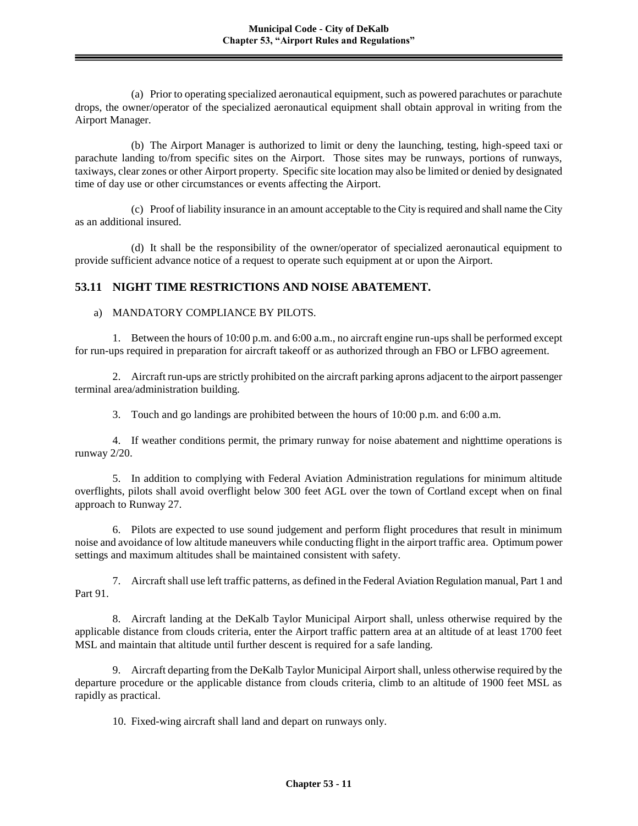(a) Prior to operating specialized aeronautical equipment, such as powered parachutes or parachute drops, the owner/operator of the specialized aeronautical equipment shall obtain approval in writing from the Airport Manager.

(b) The Airport Manager is authorized to limit or deny the launching, testing, high-speed taxi or parachute landing to/from specific sites on the Airport. Those sites may be runways, portions of runways, taxiways, clear zones or other Airport property. Specific site location may also be limited or denied by designated time of day use or other circumstances or events affecting the Airport.

(c) Proof of liability insurance in an amount acceptable to the City is required and shall name the City as an additional insured.

(d) It shall be the responsibility of the owner/operator of specialized aeronautical equipment to provide sufficient advance notice of a request to operate such equipment at or upon the Airport.

# **53.11 NIGHT TIME RESTRICTIONS AND NOISE ABATEMENT.**

### a) MANDATORY COMPLIANCE BY PILOTS.

1. Between the hours of 10:00 p.m. and 6:00 a.m., no aircraft engine run-ups shall be performed except for run-ups required in preparation for aircraft takeoff or as authorized through an FBO or LFBO agreement.

2. Aircraft run-ups are strictly prohibited on the aircraft parking aprons adjacent to the airport passenger terminal area/administration building.

3. Touch and go landings are prohibited between the hours of 10:00 p.m. and 6:00 a.m.

4. If weather conditions permit, the primary runway for noise abatement and nighttime operations is runway 2/20.

5. In addition to complying with Federal Aviation Administration regulations for minimum altitude overflights, pilots shall avoid overflight below 300 feet AGL over the town of Cortland except when on final approach to Runway 27.

6. Pilots are expected to use sound judgement and perform flight procedures that result in minimum noise and avoidance of low altitude maneuvers while conducting flight in the airport traffic area. Optimum power settings and maximum altitudes shall be maintained consistent with safety.

7. Aircraft shall use left traffic patterns, as defined in the Federal Aviation Regulation manual, Part 1 and Part 91.

8. Aircraft landing at the DeKalb Taylor Municipal Airport shall, unless otherwise required by the applicable distance from clouds criteria, enter the Airport traffic pattern area at an altitude of at least 1700 feet MSL and maintain that altitude until further descent is required for a safe landing.

9. Aircraft departing from the DeKalb Taylor Municipal Airport shall, unless otherwise required by the departure procedure or the applicable distance from clouds criteria, climb to an altitude of 1900 feet MSL as rapidly as practical.

10. Fixed-wing aircraft shall land and depart on runways only.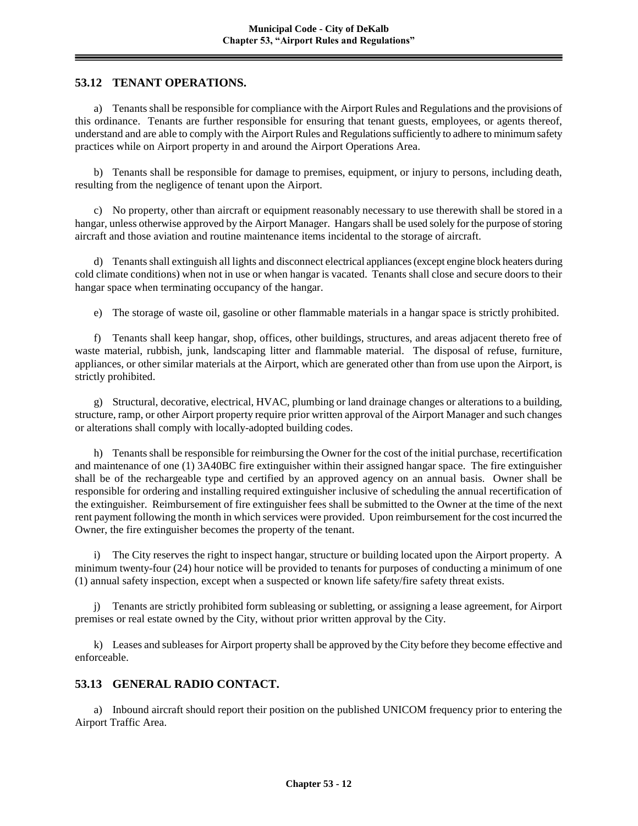# **53.12 TENANT OPERATIONS.**

a) Tenants shall be responsible for compliance with the Airport Rules and Regulations and the provisions of this ordinance. Tenants are further responsible for ensuring that tenant guests, employees, or agents thereof, understand and are able to comply with the Airport Rules and Regulations sufficiently to adhere to minimum safety practices while on Airport property in and around the Airport Operations Area.

b) Tenants shall be responsible for damage to premises, equipment, or injury to persons, including death, resulting from the negligence of tenant upon the Airport.

c) No property, other than aircraft or equipment reasonably necessary to use therewith shall be stored in a hangar, unless otherwise approved by the Airport Manager. Hangars shall be used solely for the purpose of storing aircraft and those aviation and routine maintenance items incidental to the storage of aircraft.

d) Tenants shall extinguish all lights and disconnect electrical appliances (except engine block heaters during cold climate conditions) when not in use or when hangar is vacated. Tenants shall close and secure doors to their hangar space when terminating occupancy of the hangar.

e) The storage of waste oil, gasoline or other flammable materials in a hangar space is strictly prohibited.

f) Tenants shall keep hangar, shop, offices, other buildings, structures, and areas adjacent thereto free of waste material, rubbish, junk, landscaping litter and flammable material. The disposal of refuse, furniture, appliances, or other similar materials at the Airport, which are generated other than from use upon the Airport, is strictly prohibited.

g) Structural, decorative, electrical, HVAC, plumbing or land drainage changes or alterations to a building, structure, ramp, or other Airport property require prior written approval of the Airport Manager and such changes or alterations shall comply with locally-adopted building codes.

h) Tenants shall be responsible for reimbursing the Owner for the cost of the initial purchase, recertification and maintenance of one (1) 3A40BC fire extinguisher within their assigned hangar space. The fire extinguisher shall be of the rechargeable type and certified by an approved agency on an annual basis. Owner shall be responsible for ordering and installing required extinguisher inclusive of scheduling the annual recertification of the extinguisher. Reimbursement of fire extinguisher fees shall be submitted to the Owner at the time of the next rent payment following the month in which services were provided. Upon reimbursement for the cost incurred the Owner, the fire extinguisher becomes the property of the tenant.

i) The City reserves the right to inspect hangar, structure or building located upon the Airport property. A minimum twenty-four (24) hour notice will be provided to tenants for purposes of conducting a minimum of one (1) annual safety inspection, except when a suspected or known life safety/fire safety threat exists.

j) Tenants are strictly prohibited form subleasing or subletting, or assigning a lease agreement, for Airport premises or real estate owned by the City, without prior written approval by the City.

k) Leases and subleases for Airport property shall be approved by the City before they become effective and enforceable.

## **53.13 GENERAL RADIO CONTACT.**

a) Inbound aircraft should report their position on the published UNICOM frequency prior to entering the Airport Traffic Area.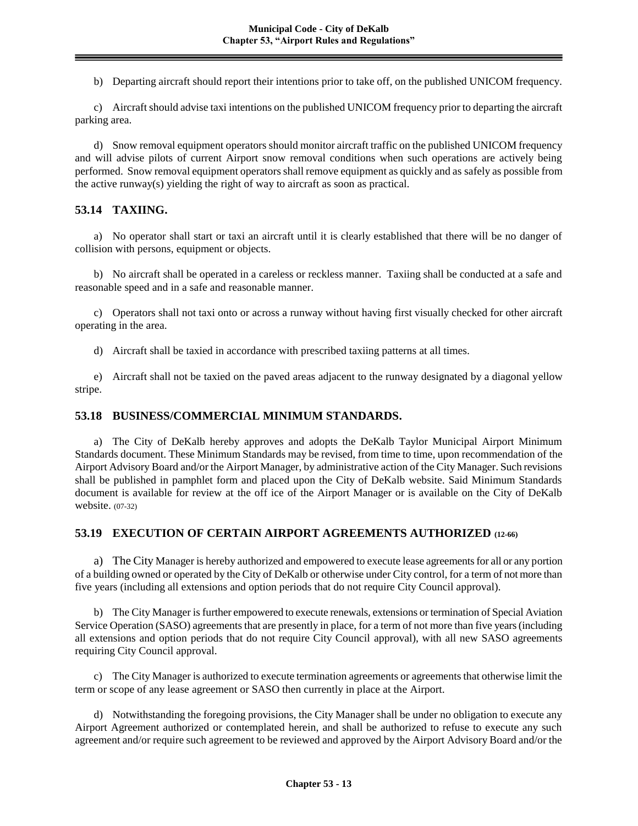b) Departing aircraft should report their intentions prior to take off, on the published UNICOM frequency.

c) Aircraft should advise taxi intentions on the published UNICOM frequency prior to departing the aircraft parking area.

d) Snow removal equipment operators should monitor aircraft traffic on the published UNICOM frequency and will advise pilots of current Airport snow removal conditions when such operations are actively being performed. Snow removal equipment operators shall remove equipment as quickly and as safely as possible from the active runway(s) yielding the right of way to aircraft as soon as practical.

# **53.14 TAXIING.**

a) No operator shall start or taxi an aircraft until it is clearly established that there will be no danger of collision with persons, equipment or objects.

b) No aircraft shall be operated in a careless or reckless manner. Taxiing shall be conducted at a safe and reasonable speed and in a safe and reasonable manner.

c) Operators shall not taxi onto or across a runway without having first visually checked for other aircraft operating in the area.

d) Aircraft shall be taxied in accordance with prescribed taxiing patterns at all times.

e) Aircraft shall not be taxied on the paved areas adjacent to the runway designated by a diagonal yellow stripe.

## **53.18 BUSINESS/COMMERCIAL MINIMUM STANDARDS.**

a) The City of DeKalb hereby approves and adopts the DeKalb Taylor Municipal Airport Minimum Standards document. These Minimum Standards may be revised, from time to time, upon recommendation of the Airport Advisory Board and/or the Airport Manager, by administrative action of the City Manager. Such revisions shall be published in pamphlet form and placed upon the City of DeKalb website. Said Minimum Standards document is available for review at the off ice of the Airport Manager or is available on the City of DeKalb website. (07-32)

# **53.19 EXECUTION OF CERTAIN AIRPORT AGREEMENTS AUTHORIZED (12-66)**

a) The City Manager is hereby authorized and empowered to execute lease agreements for all or any portion of a building owned or operated by the City of DeKalb or otherwise under City control, for a term of not more than five years (including all extensions and option periods that do not require City Council approval).

b) The City Manager is further empowered to execute renewals, extensions or termination of Special Aviation Service Operation (SASO) agreements that are presently in place, for a term of not more than five years (including all extensions and option periods that do not require City Council approval), with all new SASO agreements requiring City Council approval.

c) The City Manager is authorized to execute termination agreements or agreements that otherwise limit the term or scope of any lease agreement or SASO then currently in place at the Airport.

d) Notwithstanding the foregoing provisions, the City Manager shall be under no obligation to execute any Airport Agreement authorized or contemplated herein, and shall be authorized to refuse to execute any such agreement and/or require such agreement to be reviewed and approved by the Airport Advisory Board and/or the